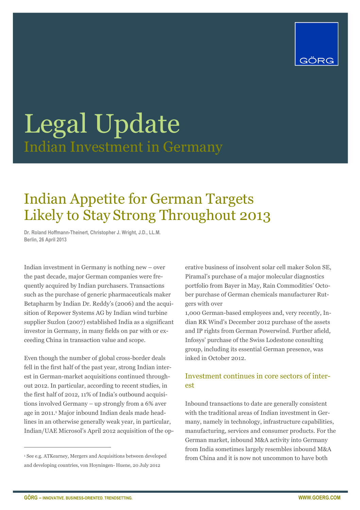

### Legal Update Indian Investment in Germany

### Indian Appetite for German Targets Likely to Stay Strong Throughout 2013

**Dr. Roland Hoffmann-Theinert, Christopher J. Wright, J.D., LL.M. Berlin, 26 April 2013** 

Indian investment in Germany is nothing new – over the past decade, major German companies were frequently acquired by Indian purchasers. Transactions such as the purchase of generic pharmaceuticals maker Betapharm by Indian Dr. Reddy's (2006) and the acquisition of Repower Systems AG by Indian wind turbine supplier Suzlon (2007) established India as a significant investor in Germany, in many fields on par with or exceeding China in transaction value and scope.

Even though the number of global cross-border deals fell in the first half of the past year, strong Indian interest in German-market acquisitions continued throughout 2012. In particular, according to recent studies, in the first half of 2012, 11% of India's outbound acquisitions involved Germany – up strongly from a 6% aver age in 2011.<sup>1</sup> Major inbound Indian deals made headlines in an otherwise generally weak year, in particular, Indian/UAE Microsol's April 2012 acquisition of the operative business of insolvent solar cell maker Solon SE, Piramal's purchase of a major molecular diagnostics portfolio from Bayer in May, Rain Commodities' October purchase of German chemicals manufacturer Rutgers with over

1,000 German-based employees and, very recently, Indian RK Wind's December 2012 purchase of the assets and IP rights from German Powerwind. Further afield, Infosys' purchase of the Swiss Lodestone consulting group, including its essential German presence, was inked in October 2012.

#### Investment continues in core sectors of interest

Inbound transactions to date are generally consistent with the traditional areas of Indian investment in Germany, namely in technology, infrastructure capabilities, manufacturing, services and consumer products. For the German market, inbound M&A activity into Germany from India sometimes largely resembles inbound M&A from China and it is now not uncommon to have both

 $\overline{a}$ 

<sup>1</sup> See e.g. ATKearney, Mergers and Acquisitions between developed and developing countries, von Hoyningen- Huene, 20 July 2012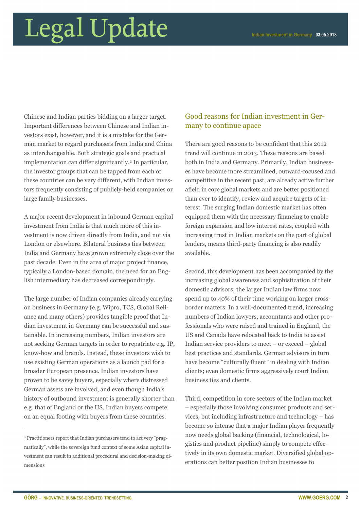Chinese and Indian parties bidding on a larger target. Important differences between Chinese and Indian investors exist, however, and it is a mistake for the German market to regard purchasers from India and China as interchangeable. Both strategic goals and practical implementation can differ significantly.2 In particular, the investor groups that can be tapped from each of these countries can be very different, with Indian investors frequently consisting of publicly-held companies or large family businesses.

A major recent development in inbound German capital investment from India is that much more of this investment is now driven directly from India, and not via London or elsewhere. Bilateral business ties between India and Germany have grown extremely close over the past decade. Even in the area of major project finance, typically a London-based domain, the need for an English intermediary has decreased correspondingly.

The large number of Indian companies already carrying on business in Germany (e.g. Wipro, TCS, Global Reliance and many others) provides tangible proof that Indian investment in Germany can be successful and sustainable. In increasing numbers, Indian investors are not seeking German targets in order to repatriate e.g. IP, know-how and brands. Instead, these investors wish to use existing German operations as a launch pad for a broader European presence. Indian investors have proven to be savvy buyers, especially where distressed German assets are involved, and even though India's history of outbound investment is generally shorter than e.g. that of England or the US, Indian buyers compete on an equal footing with buyers from these countries.

#### Good reasons for Indian investment in Germany to continue apace

There are good reasons to be confident that this 2012 trend will continue in 2013. These reasons are based both in India and Germany. Primarily, Indian businesses have become more streamlined, outward-focused and competitive in the recent past, are already active further afield in core global markets and are better positioned than ever to identify, review and acquire targets of interest. The surging Indian domestic market has often equipped them with the necessary financing to enable foreign expansion and low interest rates, coupled with increasing trust in Indian markets on the part of global lenders, means third-party financing is also readily available.

Second, this development has been accompanied by the increasing global awareness and sophistication of their domestic advisors; the larger Indian law firms now spend up to 40% of their time working on larger crossborder matters. In a well-documented trend, increasing numbers of Indian lawyers, accountants and other professionals who were raised and trained in England, the US and Canada have relocated back to India to assist Indian service providers to meet – or exceed – global best practices and standards. German advisors in turn have become "culturally fluent" in dealing with Indian clients; even domestic firms aggressively court Indian business ties and clients.

Third, competition in core sectors of the Indian market – especially those involving consumer products and services, but including infrastructure and technology – has become so intense that a major Indian player frequently now needs global backing (financial, technological, logistics and product pipeline) simply to compete effectively in its own domestic market. Diversified global operations can better position Indian businesses to

 $\overline{a}$ 

<sup>2</sup> Practitioners report that Indian purchasers tend to act very "pragmatically", while the sovereign fund context of some Asian capital investment can result in additional procedural and decision-making dimensions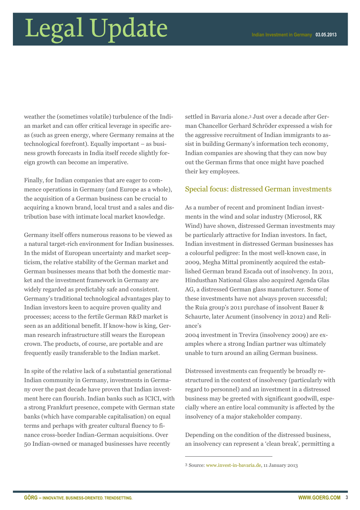weather the (sometimes volatile) turbulence of the Indian market and can offer critical leverage in specific areas (such as green energy, where Germany remains at the technological forefront). Equally important – as business growth forecasts in India itself recede slightly foreign growth can become an imperative.

Finally, for Indian companies that are eager to commence operations in Germany (and Europe as a whole), the acquisition of a German business can be crucial to acquiring a known brand, local trust and a sales and distribution base with intimate local market knowledge.

Germany itself offers numerous reasons to be viewed as a natural target-rich environment for Indian businesses. In the midst of European uncertainty and market scepticism, the relative stability of the German market and German businesses means that both the domestic market and the investment framework in Germany are widely regarded as predictably safe and consistent. Germany's traditional technological advantages play to Indian investors keen to acquire proven quality and processes; access to the fertile German R&D market is seen as an additional benefit. If know-how is king, German research infrastructure still wears the European crown. The products, of course, are portable and are frequently easily transferable to the Indian market.

In spite of the relative lack of a substantial generational Indian community in Germany, investments in Germany over the past decade have proven that Indian investment here can flourish. Indian banks such as ICICI, with a strong Frankfurt presence, compete with German state banks (which have comparable capitalisation) on equal terms and perhaps with greater cultural fluency to finance cross-border Indian-German acquisitions. Over 50 Indian-owned or managed businesses have recently

settled in Bavaria alone.3 Just over a decade after German Chancellor Gerhard Schröder expressed a wish for the aggressive recruitment of Indian immigrants to assist in building Germany's information tech economy, Indian companies are showing that they can now buy out the German firms that once might have poached their key employees.

#### Special focus: distressed German investments

As a number of recent and prominent Indian investments in the wind and solar industry (Microsol, RK Wind) have shown, distressed German investments may be particularly attractive for Indian investors. In fact, Indian investment in distressed German businesses has a colourful pedigree: In the most well-known case, in 2009, Megha Mittal prominently acquired the established German brand Escada out of insolvency. In 2011, Hindusthan National Glass also acquired Agenda Glas AG, a distressed German glass manufacturer. Some of these investments have not always proven successful; the Ruia group's 2011 purchase of insolvent Bauer & Schaurte, later Acument (insolvency in 2012) and Reliance's

2004 investment in Trevira (insolvency 2009) are examples where a strong Indian partner was ultimately unable to turn around an ailing German business.

Distressed investments can frequently be broadly restructured in the context of insolvency (particularly with regard to personnel) and an investment in a distressed business may be greeted with significant goodwill, especially where an entire local community is affected by the insolvency of a major stakeholder company.

Depending on the condition of the distressed business, an insolvency can represent a 'clean break', permitting a

 $\overline{a}$ 

<sup>3</sup> Source: www.invest-in-bavaria.de, 11 January 2013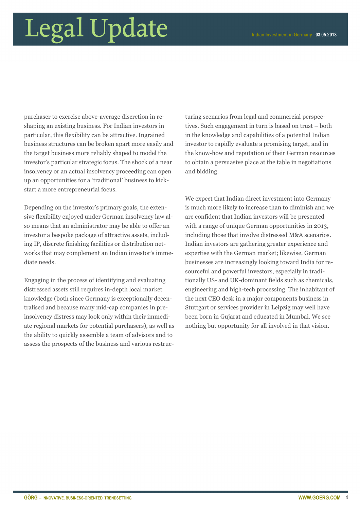purchaser to exercise above-average discretion in reshaping an existing business. For Indian investors in particular, this flexibility can be attractive. Ingrained business structures can be broken apart more easily and the target business more reliably shaped to model the investor's particular strategic focus. The shock of a near insolvency or an actual insolvency proceeding can open up an opportunities for a 'traditional' business to kickstart a more entrepreneurial focus.

Depending on the investor's primary goals, the extensive flexibility enjoyed under German insolvency law also means that an administrator may be able to offer an investor a bespoke package of attractive assets, including IP, discrete finishing facilities or distribution networks that may complement an Indian investor's immediate needs.

Engaging in the process of identifying and evaluating distressed assets still requires in-depth local market knowledge (both since Germany is exceptionally decentralised and because many mid-cap companies in preinsolvency distress may look only within their immediate regional markets for potential purchasers), as well as the ability to quickly assemble a team of advisors and to assess the prospects of the business and various restructuring scenarios from legal and commercial perspectives. Such engagement in turn is based on trust – both in the knowledge and capabilities of a potential Indian investor to rapidly evaluate a promising target, and in the know-how and reputation of their German resources to obtain a persuasive place at the table in negotiations and bidding.

We expect that Indian direct investment into Germany is much more likely to increase than to diminish and we are confident that Indian investors will be presented with a range of unique German opportunities in 2013, including those that involve distressed M&A scenarios. Indian investors are gathering greater experience and expertise with the German market; likewise, German businesses are increasingly looking toward India for resourceful and powerful investors, especially in traditionally US- and UK-dominant fields such as chemicals, engineering and high-tech processing. The inhabitant of the next CEO desk in a major components business in Stuttgart or services provider in Leipzig may well have been born in Gujarat and educated in Mumbai. We see nothing but opportunity for all involved in that vision.